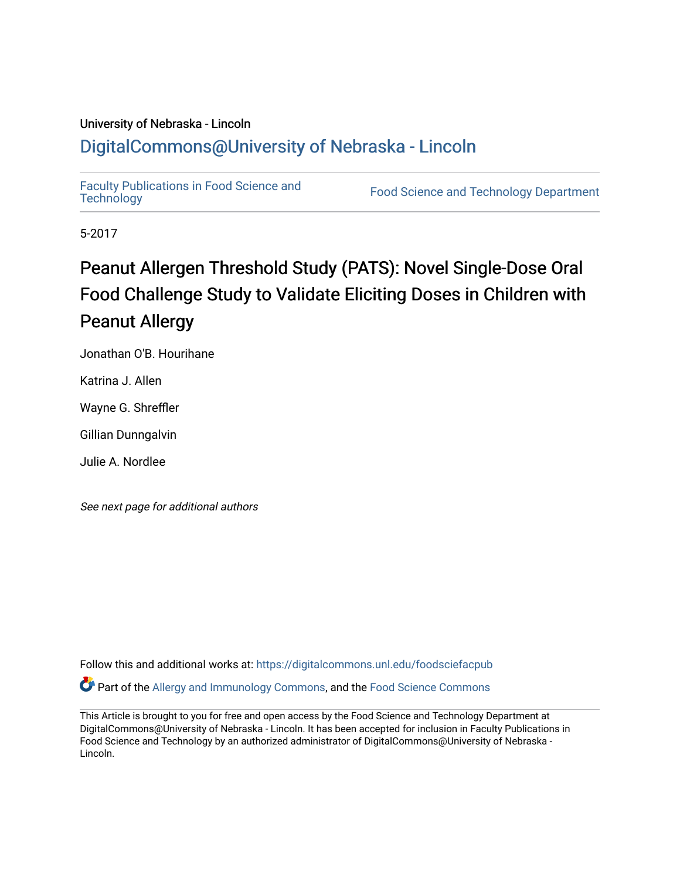### University of Nebraska - Lincoln [DigitalCommons@University of Nebraska - Lincoln](https://digitalcommons.unl.edu/)

[Faculty Publications in Food Science and](https://digitalcommons.unl.edu/foodsciefacpub)

Food Science and [Technology](https://digitalcommons.unl.edu/foodsciefacpub) Department

5-2017

### Peanut Allergen Threshold Study (PATS): Novel Single-Dose Oral Food Challenge Study to Validate Eliciting Doses in Children with Peanut Allergy

Jonathan O'B. Hourihane

Katrina J. Allen

Wayne G. Shreffler

Gillian Dunngalvin

Julie A. Nordlee

See next page for additional authors

Follow this and additional works at: [https://digitalcommons.unl.edu/foodsciefacpub](https://digitalcommons.unl.edu/foodsciefacpub?utm_source=digitalcommons.unl.edu%2Ffoodsciefacpub%2F462&utm_medium=PDF&utm_campaign=PDFCoverPages)  Part of the [Allergy and Immunology Commons](http://network.bepress.com/hgg/discipline/681?utm_source=digitalcommons.unl.edu%2Ffoodsciefacpub%2F462&utm_medium=PDF&utm_campaign=PDFCoverPages), and the [Food Science Commons](http://network.bepress.com/hgg/discipline/84?utm_source=digitalcommons.unl.edu%2Ffoodsciefacpub%2F462&utm_medium=PDF&utm_campaign=PDFCoverPages) 

This Article is brought to you for free and open access by the Food Science and Technology Department at DigitalCommons@University of Nebraska - Lincoln. It has been accepted for inclusion in Faculty Publications in Food Science and Technology by an authorized administrator of DigitalCommons@University of Nebraska -Lincoln.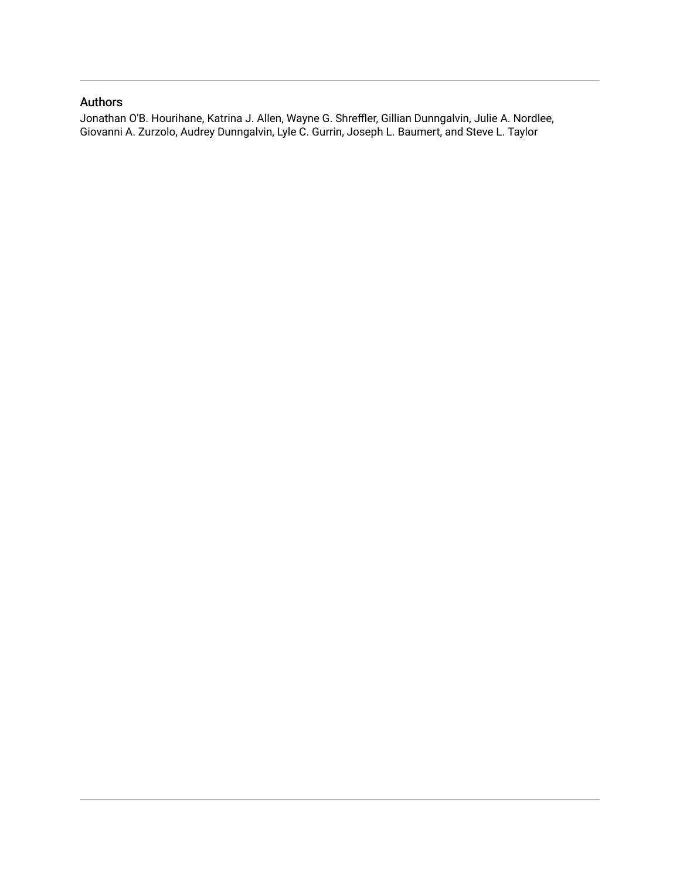### Authors

Jonathan O'B. Hourihane, Katrina J. Allen, Wayne G. Shreffler, Gillian Dunngalvin, Julie A. Nordlee, Giovanni A. Zurzolo, Audrey Dunngalvin, Lyle C. Gurrin, Joseph L. Baumert, and Steve L. Taylor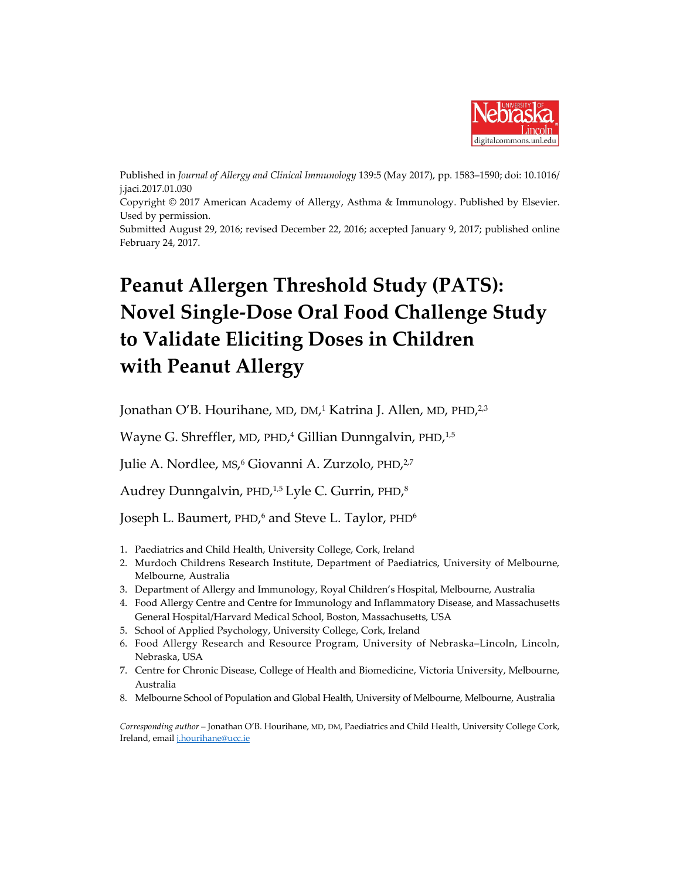

Published in *Journal of Allergy and Clinical Immunology* 139:5 (May 2017), pp. 1583–1590; doi: 10.1016/ j.jaci.2017.01.030 Copyright © 2017 American Academy of Allergy, Asthma & Immunology. Published by Elsevier. Used by permission. Submitted August 29, 2016; revised December 22, 2016; accepted January 9, 2017; published online February 24, 2017.

## **Peanut Allergen Threshold Study (PATS): Novel Single-Dose Oral Food Challenge Study to Validate Eliciting Doses in Children with Peanut Allergy**

Jonathan O'B. Hourihane, MD, DM,<sup>1</sup> Katrina J. Allen, MD, PHD,<sup>2,3</sup>

Wayne G. Shreffler, MD, PHD,<sup>4</sup> Gillian Dunngalvin, PHD,<sup>1,5</sup>

Julie A. Nordlee, MS,<sup>6</sup> Giovanni A. Zurzolo, PHD,<sup>2,7</sup>

Audrey Dunngalvin, PHD,<sup>1,5</sup> Lyle C. Gurrin, PHD,<sup>8</sup>

Joseph L. Baumert, PHD,<sup>6</sup> and Steve L. Taylor, PHD<sup>6</sup>

- 1. Paediatrics and Child Health, University College, Cork, Ireland
- 2. Murdoch Childrens Research Institute, Department of Paediatrics, University of Melbourne, Melbourne, Australia
- 3. Department of Allergy and Immunology, Royal Children's Hospital, Melbourne, Australia
- 4. Food Allergy Centre and Centre for Immunology and Inflammatory Disease, and Massachusetts General Hospital/Harvard Medical School, Boston, Massachusetts, USA
- 5. School of Applied Psychology, University College, Cork, Ireland
- 6. Food Allergy Research and Resource Program, University of Nebraska–Lincoln, Lincoln, Nebraska, USA
- 7. Centre for Chronic Disease, College of Health and Biomedicine, Victoria University, Melbourne, Australia
- 8. Melbourne School of Population and Global Health, University of Melbourne, Melbourne, Australia

*Corresponding author* – Jonathan O'B. Hourihane, MD, DM, Paediatrics and Child Health, University College Cork, Ireland, emai[l j.hourihane@ucc.ie](mailto:j.hourihane@ucc.ie)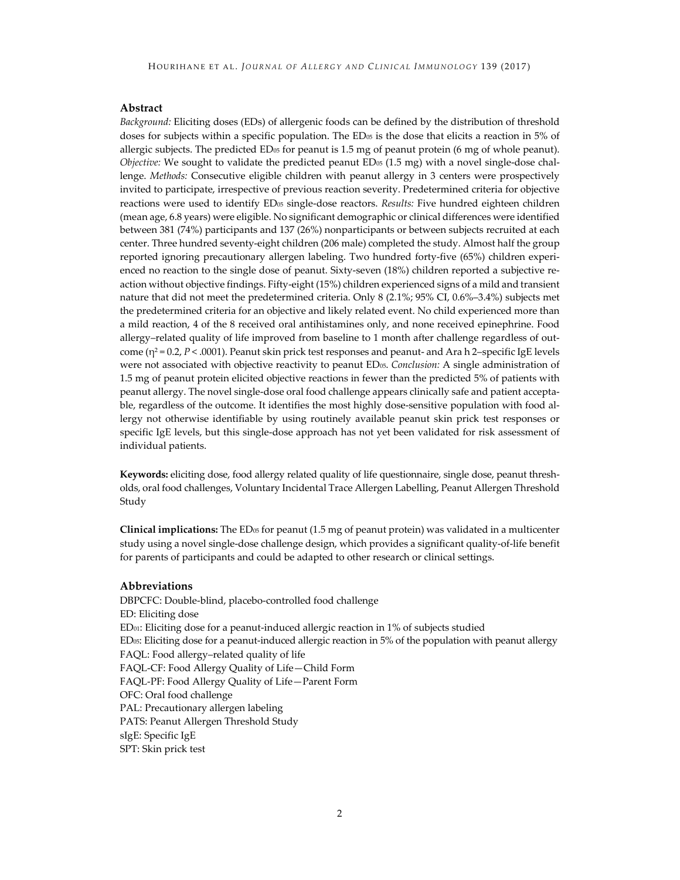#### **Abstract**

*Background:* Eliciting doses (EDs) of allergenic foods can be defined by the distribution of threshold doses for subjects within a specific population. The ED<sub>05</sub> is the dose that elicits a reaction in 5% of allergic subjects. The predicted  $ED_{05}$  for peanut is 1.5 mg of peanut protein (6 mg of whole peanut). *Objective:* We sought to validate the predicted peanut ED<sub>05</sub> (1.5 mg) with a novel single-dose challenge. *Methods:* Consecutive eligible children with peanut allergy in 3 centers were prospectively invited to participate, irrespective of previous reaction severity. Predetermined criteria for objective reactions were used to identify ED05 single-dose reactors. *Results:* Five hundred eighteen children (mean age, 6.8 years) were eligible. No significant demographic or clinical differences were identified between 381 (74%) participants and 137 (26%) nonparticipants or between subjects recruited at each center. Three hundred seventy-eight children (206 male) completed the study. Almost half the group reported ignoring precautionary allergen labeling. Two hundred forty-five (65%) children experienced no reaction to the single dose of peanut. Sixty-seven (18%) children reported a subjective reaction without objective findings. Fifty-eight (15%) children experienced signs of a mild and transient nature that did not meet the predetermined criteria. Only 8 (2.1%; 95% CI, 0.6%–3.4%) subjects met the predetermined criteria for an objective and likely related event. No child experienced more than a mild reaction, 4 of the 8 received oral antihistamines only, and none received epinephrine. Food allergy–related quality of life improved from baseline to 1 month after challenge regardless of outcome (η<sup>2</sup> = 0.2, *P* < .0001). Peanut skin prick test responses and peanut- and Ara h 2–specific IgE levels were not associated with objective reactivity to peanut ED05. *Conclusion:* A single administration of 1.5 mg of peanut protein elicited objective reactions in fewer than the predicted 5% of patients with peanut allergy. The novel single-dose oral food challenge appears clinically safe and patient acceptable, regardless of the outcome. It identifies the most highly dose-sensitive population with food allergy not otherwise identifiable by using routinely available peanut skin prick test responses or specific IgE levels, but this single-dose approach has not yet been validated for risk assessment of individual patients.

**Keywords:** eliciting dose, food allergy related quality of life questionnaire, single dose, peanut thresholds, oral food challenges, Voluntary Incidental Trace Allergen Labelling, Peanut Allergen Threshold Study

**Clinical implications:** The ED<sub>05</sub> for peanut (1.5 mg of peanut protein) was validated in a multicenter study using a novel single-dose challenge design, which provides a significant quality-of-life benefit for parents of participants and could be adapted to other research or clinical settings.

#### **Abbreviations**

DBPCFC: Double-blind, placebo-controlled food challenge ED: Eliciting dose  $ED<sub>01</sub>$ : Eliciting dose for a peanut-induced allergic reaction in 1% of subjects studied ED05: Eliciting dose for a peanut-induced allergic reaction in 5% of the population with peanut allergy FAQL: Food allergy–related quality of life FAQL-CF: Food Allergy Quality of Life—Child Form FAQL-PF: Food Allergy Quality of Life—Parent Form OFC: Oral food challenge PAL: Precautionary allergen labeling PATS: Peanut Allergen Threshold Study sIgE: Specific IgE SPT: Skin prick test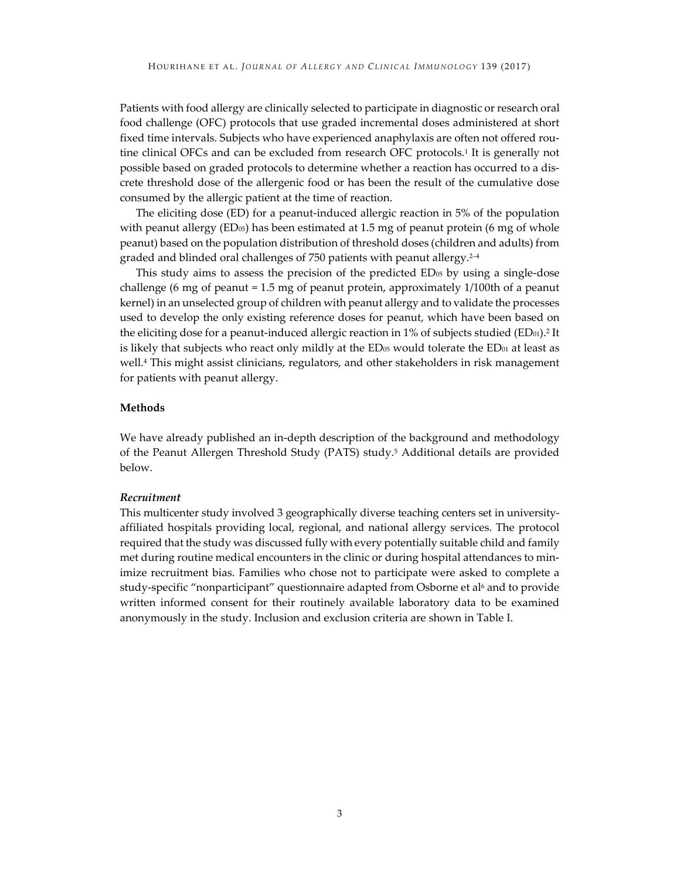Patients with food allergy are clinically selected to participate in diagnostic or research oral food challenge (OFC) protocols that use graded incremental doses administered at short fixed time intervals. Subjects who have experienced anaphylaxis are often not offered routine clinical OFCs and can be excluded from research OFC protocols.<sup>1</sup> It is generally not possible based on graded protocols to determine whether a reaction has occurred to a discrete threshold dose of the allergenic food or has been the result of the cumulative dose consumed by the allergic patient at the time of reaction.

The eliciting dose (ED) for a peanut-induced allergic reaction in 5% of the population with peanut allergy ( $ED<sub>05</sub>$ ) has been estimated at 1.5 mg of peanut protein (6 mg of whole peanut) based on the population distribution of threshold doses (children and adults) from graded and blinded oral challenges of 750 patients with peanut allergy.<sup>2-4</sup>

This study aims to assess the precision of the predicted ED<sub>05</sub> by using a single-dose challenge (6 mg of peanut = 1.5 mg of peanut protein, approximately 1/100th of a peanut kernel) in an unselected group of children with peanut allergy and to validate the processes used to develop the only existing reference doses for peanut, which have been based on the eliciting dose for a peanut-induced allergic reaction in 1% of subjects studied (ED<sub>01</sub>).<sup>2</sup> It is likely that subjects who react only mildly at the  $ED_{05}$  would tolerate the  $ED_{01}$  at least as well.4 This might assist clinicians, regulators, and other stakeholders in risk management for patients with peanut allergy.

#### **Methods**

We have already published an in-depth description of the background and methodology of the Peanut Allergen Threshold Study (PATS) study.5 Additional details are provided below.

#### *Recruitment*

This multicenter study involved 3 geographically diverse teaching centers set in universityaffiliated hospitals providing local, regional, and national allergy services. The protocol required that the study was discussed fully with every potentially suitable child and family met during routine medical encounters in the clinic or during hospital attendances to minimize recruitment bias. Families who chose not to participate were asked to complete a study-specific "nonparticipant" questionnaire adapted from Osborne et al<sup>6</sup> and to provide written informed consent for their routinely available laboratory data to be examined anonymously in the study. Inclusion and exclusion criteria are shown in Table I.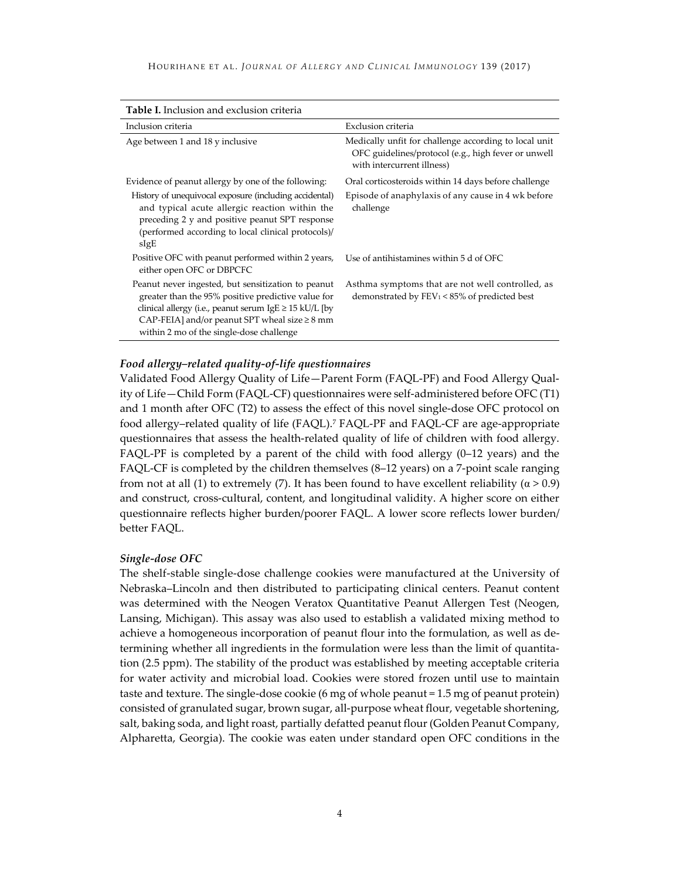| <b>Table I.</b> Inclusion and exclusion criteria                                                                                                                                                                                                                         |                                                                                                                                            |  |  |  |  |  |  |
|--------------------------------------------------------------------------------------------------------------------------------------------------------------------------------------------------------------------------------------------------------------------------|--------------------------------------------------------------------------------------------------------------------------------------------|--|--|--|--|--|--|
| Inclusion criteria                                                                                                                                                                                                                                                       | Exclusion criteria                                                                                                                         |  |  |  |  |  |  |
| Age between 1 and 18 y inclusive                                                                                                                                                                                                                                         | Medically unfit for challenge according to local unit<br>OFC guidelines/protocol (e.g., high fever or unwell<br>with intercurrent illness) |  |  |  |  |  |  |
| Evidence of peanut allergy by one of the following:                                                                                                                                                                                                                      | Oral corticosteroids within 14 days before challenge                                                                                       |  |  |  |  |  |  |
| History of unequivocal exposure (including accidental)<br>and typical acute allergic reaction within the<br>preceding 2 y and positive peanut SPT response<br>(performed according to local clinical protocols)/<br>sIgE                                                 | Episode of anaphylaxis of any cause in 4 wk before<br>challenge                                                                            |  |  |  |  |  |  |
| Positive OFC with peanut performed within 2 years,<br>either open OFC or DBPCFC                                                                                                                                                                                          | Use of antihistamines within 5 d of OFC                                                                                                    |  |  |  |  |  |  |
| Peanut never ingested, but sensitization to peanut<br>greater than the 95% positive predictive value for<br>clinical allergy (i.e., peanut serum $IgE \ge 15$ kU/L [by<br>CAP-FEIA] and/or peanut SPT wheal size $\geq 8$ mm<br>within 2 mo of the single-dose challenge | Asthma symptoms that are not well controlled, as<br>demonstrated by $FEV_1 < 85\%$ of predicted best                                       |  |  |  |  |  |  |

# *Food allergy–related quality-of-life questionnaires*

Validated Food Allergy Quality of Life—Parent Form (FAQL-PF) and Food Allergy Quality of Life—Child Form (FAQL-CF) questionnaires were self-administered before OFC (T1) and 1 month after OFC (T2) to assess the effect of this novel single-dose OFC protocol on food allergy–related quality of life (FAQL).7 FAQL-PF and FAQL-CF are age-appropriate questionnaires that assess the health-related quality of life of children with food allergy. FAQL-PF is completed by a parent of the child with food allergy (0–12 years) and the FAQL-CF is completed by the children themselves (8–12 years) on a 7-point scale ranging from not at all (1) to extremely (7). It has been found to have excellent reliability ( $α > 0.9$ ) and construct, cross-cultural, content, and longitudinal validity. A higher score on either questionnaire reflects higher burden/poorer FAQL. A lower score reflects lower burden/ better FAQL.

#### *Single-dose OFC*

The shelf-stable single-dose challenge cookies were manufactured at the University of Nebraska–Lincoln and then distributed to participating clinical centers. Peanut content was determined with the Neogen Veratox Quantitative Peanut Allergen Test (Neogen, Lansing, Michigan). This assay was also used to establish a validated mixing method to achieve a homogeneous incorporation of peanut flour into the formulation, as well as determining whether all ingredients in the formulation were less than the limit of quantitation (2.5 ppm). The stability of the product was established by meeting acceptable criteria for water activity and microbial load. Cookies were stored frozen until use to maintain taste and texture. The single-dose cookie (6 mg of whole peanut = 1.5 mg of peanut protein) consisted of granulated sugar, brown sugar, all-purpose wheat flour, vegetable shortening, salt, baking soda, and light roast, partially defatted peanut flour (Golden Peanut Company, Alpharetta, Georgia). The cookie was eaten under standard open OFC conditions in the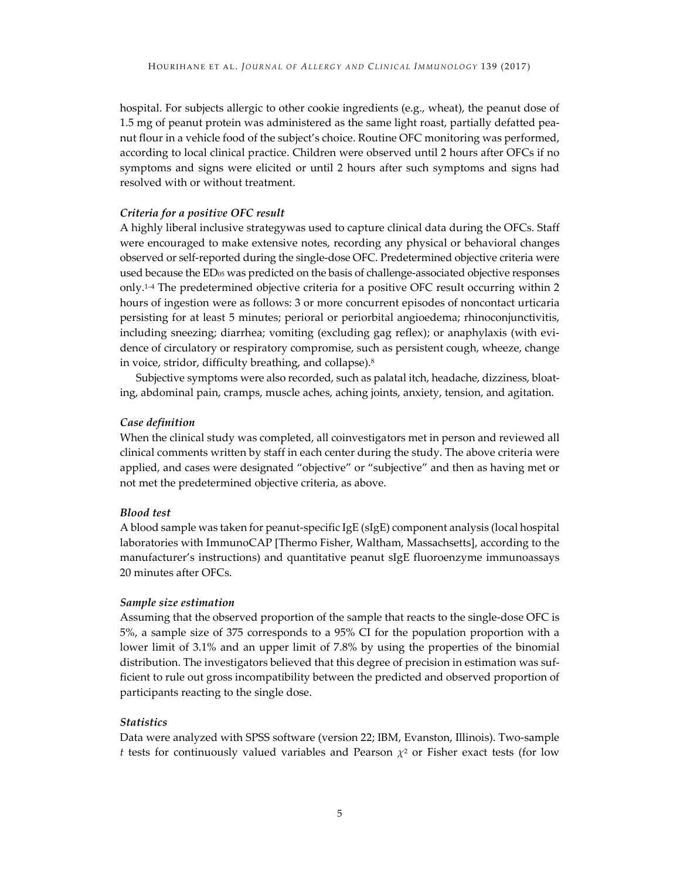hospital. For subjects allergic to other cookie ingredients (e.g., wheat), the peanut dose of 1.5 mg of peanut protein was administered as the same light roast, partially defatted peanut flour in a vehicle food of the subject's choice. Routine OFC monitoring was performed, according to local clinical practice. Children were observed until 2 hours after OFCs if no symptoms and signs were elicited or until 2 hours after such symptoms and signs had resolved with or without treatment.

#### *Criteria for a positive OFC result*

A highly liberal inclusive strategywas used to capture clinical data during the OFCs. Staff were encouraged to make extensive notes, recording any physical or behavioral changes observed or self-reported during the single-dose OFC. Predetermined objective criteria were used because the ED<sub>05</sub> was predicted on the basis of challenge-associated objective responses only.1–4 The predetermined objective criteria for a positive OFC result occurring within 2 hours of ingestion were as follows: 3 or more concurrent episodes of noncontact urticaria persisting for at least 5 minutes; perioral or periorbital angioedema; rhinoconjunctivitis, including sneezing; diarrhea; vomiting (excluding gag reflex); or anaphylaxis (with evidence of circulatory or respiratory compromise, such as persistent cough, wheeze, change in voice, stridor, difficulty breathing, and collapse).8

Subjective symptoms were also recorded, such as palatal itch, headache, dizziness, bloating, abdominal pain, cramps, muscle aches, aching joints, anxiety, tension, and agitation.

#### *Case definition*

When the clinical study was completed, all coinvestigators met in person and reviewed all clinical comments written by staff in each center during the study. The above criteria were applied, and cases were designated "objective" or "subjective" and then as having met or not met the predetermined objective criteria, as above.

#### *Blood test*

A blood sample was taken for peanut-specific IgE (sIgE) component analysis (local hospital laboratories with ImmunoCAP [Thermo Fisher, Waltham, Massachsetts], according to the manufacturer's instructions) and quantitative peanut sIgE fluoroenzyme immunoassays 20 minutes after OFCs.

#### *Sample size estimation*

Assuming that the observed proportion of the sample that reacts to the single-dose OFC is 5%, a sample size of 375 corresponds to a 95% CI for the population proportion with a lower limit of 3.1% and an upper limit of 7.8% by using the properties of the binomial distribution. The investigators believed that this degree of precision in estimation was sufficient to rule out gross incompatibility between the predicted and observed proportion of participants reacting to the single dose.

#### *Statistics*

Data were analyzed with SPSS software (version 22; IBM, Evanston, Illinois). Two-sample *t* tests for continuously valued variables and Pearson  $\chi^2$  or Fisher exact tests (for low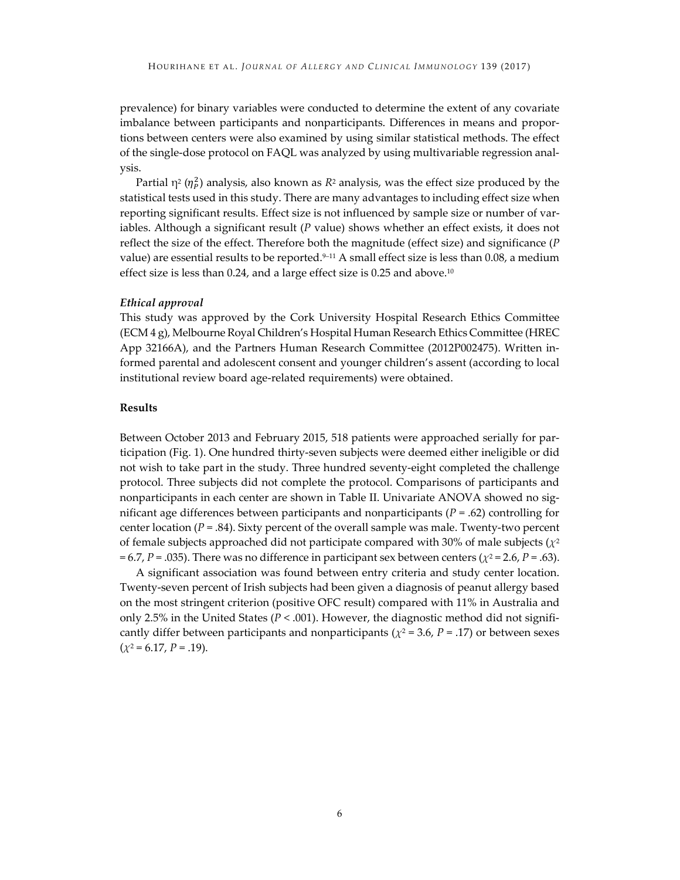prevalence) for binary variables were conducted to determine the extent of any covariate imbalance between participants and nonparticipants. Differences in means and proportions between centers were also examined by using similar statistical methods. The effect of the single-dose protocol on FAQL was analyzed by using multivariable regression analysis.

Partial  $\eta^2$  ( $\eta^2$ ) analysis, also known as  $R^2$  analysis, was the effect size produced by the statistical tests used in this study. There are many advantages to including effect size when reporting significant results. Effect size is not influenced by sample size or number of variables. Although a significant result (*P* value) shows whether an effect exists, it does not reflect the size of the effect. Therefore both the magnitude (effect size) and significance (*P* value) are essential results to be reported.<sup>9–11</sup> A small effect size is less than 0.08, a medium effect size is less than 0.24, and a large effect size is 0.25 and above.<sup>10</sup>

#### *Ethical approval*

This study was approved by the Cork University Hospital Research Ethics Committee (ECM 4 g), Melbourne Royal Children's Hospital Human Research Ethics Committee (HREC App 32166A), and the Partners Human Research Committee (2012P002475). Written informed parental and adolescent consent and younger children's assent (according to local institutional review board age-related requirements) were obtained.

#### **Results**

Between October 2013 and February 2015, 518 patients were approached serially for participation (Fig. 1). One hundred thirty-seven subjects were deemed either ineligible or did not wish to take part in the study. Three hundred seventy-eight completed the challenge protocol. Three subjects did not complete the protocol. Comparisons of participants and nonparticipants in each center are shown in Table II. Univariate ANOVA showed no significant age differences between participants and nonparticipants (*P* = .62) controlling for center location  $(P = .84)$ . Sixty percent of the overall sample was male. Twenty-two percent of female subjects approached did not participate compared with 30% of male subjects  $(\chi^2)$  $= 6.7$ , *P* = .035). There was no difference in participant sex between centers ( $\chi^2$  = 2.6, *P* = .63).

A significant association was found between entry criteria and study center location. Twenty-seven percent of Irish subjects had been given a diagnosis of peanut allergy based on the most stringent criterion (positive OFC result) compared with 11% in Australia and only 2.5% in the United States ( $P < .001$ ). However, the diagnostic method did not significantly differ between participants and nonparticipants ( $\chi^2$  = 3.6, *P* = .17) or between sexes  $(\chi^2 = 6.17, P = .19)$ .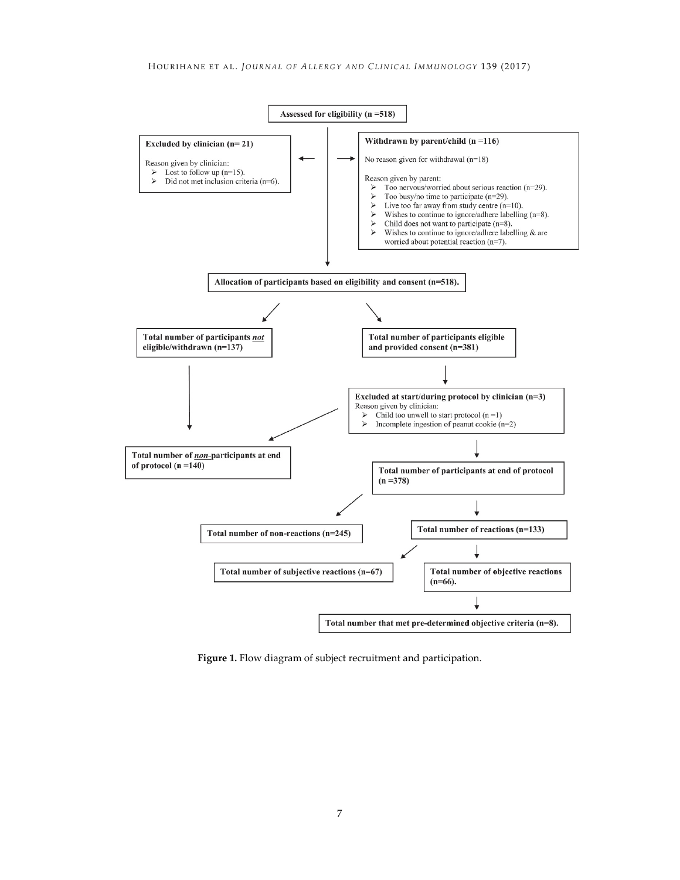

**Figure 1.** Flow diagram of subject recruitment and participation.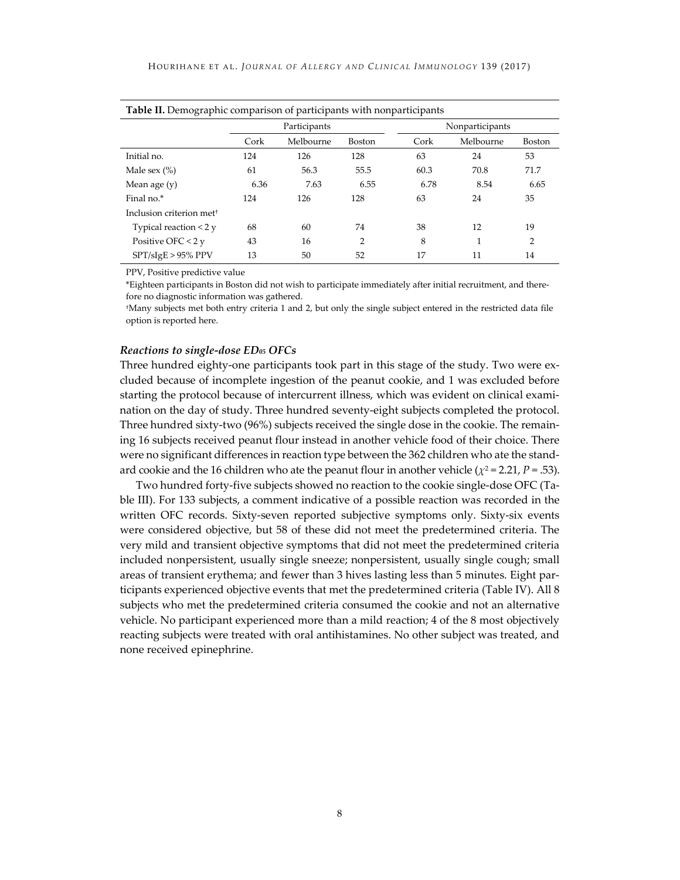| Table II. Demographic comparison of participants with nonparticipants |      |              |               |      |                 |                |  |  |  |
|-----------------------------------------------------------------------|------|--------------|---------------|------|-----------------|----------------|--|--|--|
|                                                                       |      | Participants |               |      | Nonparticipants |                |  |  |  |
|                                                                       | Cork | Melbourne    | <b>Boston</b> | Cork | Melbourne       | Boston         |  |  |  |
| Initial no.                                                           | 124  | 126          | 128           | 63   | 24              | 53             |  |  |  |
| Male sex $(\%)$                                                       | 61   | 56.3         | 55.5          | 60.3 | 70.8            | 71.7           |  |  |  |
| Mean age $(y)$                                                        | 6.36 | 7.63         | 6.55          | 6.78 | 8.54            | 6.65           |  |  |  |
| Final no.*                                                            | 124  | 126          | 128           | 63   | 24              | 35             |  |  |  |
| Inclusion criterion met <sup>+</sup>                                  |      |              |               |      |                 |                |  |  |  |
| Typical reaction $<$ 2 $<$                                            | 68   | 60           | 74            | 38   | 12              | 19             |  |  |  |
| Positive OFC $< 2y$                                                   | 43   | 16           | 2             | 8    |                 | $\overline{2}$ |  |  |  |
| $SPT/sIgE > 95\% PPV$                                                 | 13   | 50           | 52            | 17   | 11              | 14             |  |  |  |

PPV, Positive predictive value

\*Eighteen participants in Boston did not wish to participate immediately after initial recruitment, and therefore no diagnostic information was gathered.

†Many subjects met both entry criteria 1 and 2, but only the single subject entered in the restricted data file option is reported here.

#### *Reactions to single-dose ED05 OFCs*

Three hundred eighty-one participants took part in this stage of the study. Two were excluded because of incomplete ingestion of the peanut cookie, and 1 was excluded before starting the protocol because of intercurrent illness, which was evident on clinical examination on the day of study. Three hundred seventy-eight subjects completed the protocol. Three hundred sixty-two (96%) subjects received the single dose in the cookie. The remaining 16 subjects received peanut flour instead in another vehicle food of their choice. There were no significant differences in reaction type between the 362 children who ate the standard cookie and the 16 children who ate the peanut flour in another vehicle ( $\chi^2$  = 2.21, *P* = .53).

Two hundred forty-five subjects showed no reaction to the cookie single-dose OFC (Table III). For 133 subjects, a comment indicative of a possible reaction was recorded in the written OFC records. Sixty-seven reported subjective symptoms only. Sixty-six events were considered objective, but 58 of these did not meet the predetermined criteria. The very mild and transient objective symptoms that did not meet the predetermined criteria included nonpersistent, usually single sneeze; nonpersistent, usually single cough; small areas of transient erythema; and fewer than 3 hives lasting less than 5 minutes. Eight participants experienced objective events that met the predetermined criteria (Table IV). All 8 subjects who met the predetermined criteria consumed the cookie and not an alternative vehicle. No participant experienced more than a mild reaction; 4 of the 8 most objectively reacting subjects were treated with oral antihistamines. No other subject was treated, and none received epinephrine.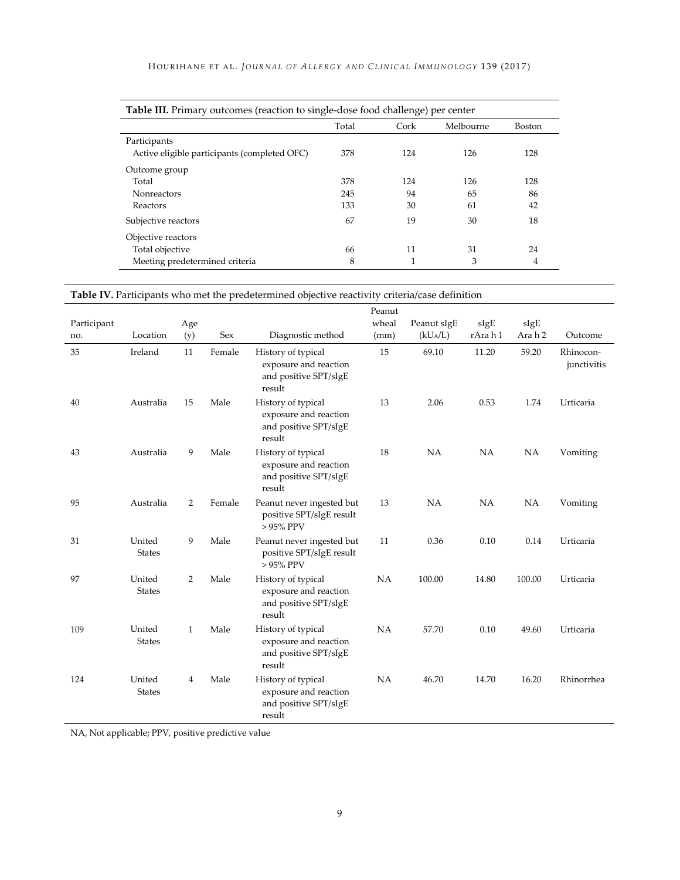| Table III. Primary outcomes (reaction to single-dose food challenge) per center |     |     |     |     |  |  |  |  |  |  |
|---------------------------------------------------------------------------------|-----|-----|-----|-----|--|--|--|--|--|--|
| Melbourne<br>Cork<br><b>Boston</b><br>Total                                     |     |     |     |     |  |  |  |  |  |  |
| Participants                                                                    |     |     |     |     |  |  |  |  |  |  |
| Active eligible participants (completed OFC)                                    | 378 | 124 | 126 | 128 |  |  |  |  |  |  |
| Outcome group                                                                   |     |     |     |     |  |  |  |  |  |  |
| Total                                                                           | 378 | 124 | 126 | 128 |  |  |  |  |  |  |
| <b>Nonreactors</b>                                                              | 245 | 94  | 65  | 86  |  |  |  |  |  |  |
| Reactors                                                                        | 133 | 30  | 61  | 42  |  |  |  |  |  |  |
| Subjective reactors                                                             | 67  | 19  | 30  | 18  |  |  |  |  |  |  |
| Objective reactors                                                              |     |     |     |     |  |  |  |  |  |  |
| Total objective                                                                 | 66  | 11  | 31  | 24  |  |  |  |  |  |  |
| Meeting predetermined criteria                                                  | 8   |     | 3   | 4   |  |  |  |  |  |  |

| -- |  |  |
|----|--|--|
|    |  |  |
|    |  |  |
|    |  |  |

| <b>Table IV.</b> Participants who met the predetermined objective reactivity criteria/case definition |  |  |
|-------------------------------------------------------------------------------------------------------|--|--|
|-------------------------------------------------------------------------------------------------------|--|--|

|             |                         |                |        |                                                                                | Peanut |             |           |        |                          |
|-------------|-------------------------|----------------|--------|--------------------------------------------------------------------------------|--------|-------------|-----------|--------|--------------------------|
| Participant |                         | Age            |        |                                                                                | wheal  | Peanut sIgE | sIgE      | sIgE   |                          |
| no.         | Location                | (y)            | Sex    | Diagnostic method                                                              | (mm)   | $(kU_A/L)$  | rArah1    | Arah 2 | Outcome                  |
| 35          | Ireland                 | 11             | Female | History of typical<br>exposure and reaction<br>and positive SPT/sIgE<br>result | 15     | 69.10       | 11.20     | 59.20  | Rhinocon-<br>junctivitis |
| 40          | Australia               | 15             | Male   | History of typical<br>exposure and reaction<br>and positive SPT/sIgE<br>result | 13     | 2.06        | 0.53      | 1.74   | Urticaria                |
| 43          | Australia               | 9              | Male   | History of typical<br>exposure and reaction<br>and positive SPT/sIgE<br>result | 18     | NA          | NA        | NA     | Vomiting                 |
| 95          | Australia               | $\overline{2}$ | Female | Peanut never ingested but<br>positive SPT/sIgE result<br>$>95\%$ PPV           | 13     | NA          | <b>NA</b> | NA     | Vomiting                 |
| 31          | United<br><b>States</b> | 9              | Male   | Peanut never ingested but<br>positive SPT/sIgE result<br>$>95\%$ PPV           | 11     | 0.36        | 0.10      | 0.14   | Urticaria                |
| 97          | United<br><b>States</b> | $\overline{2}$ | Male   | History of typical<br>exposure and reaction<br>and positive SPT/sIgE<br>result | NA     | 100.00      | 14.80     | 100.00 | Urticaria                |
| 109         | United<br><b>States</b> | $\mathbf{1}$   | Male   | History of typical<br>exposure and reaction<br>and positive SPT/sIgE<br>result | NA     | 57.70       | 0.10      | 49.60  | Urticaria                |
| 124         | United<br><b>States</b> | 4              | Male   | History of typical<br>exposure and reaction<br>and positive SPT/sIgE<br>result | NA     | 46.70       | 14.70     | 16.20  | Rhinorrhea               |

NA, Not applicable; PPV, positive predictive value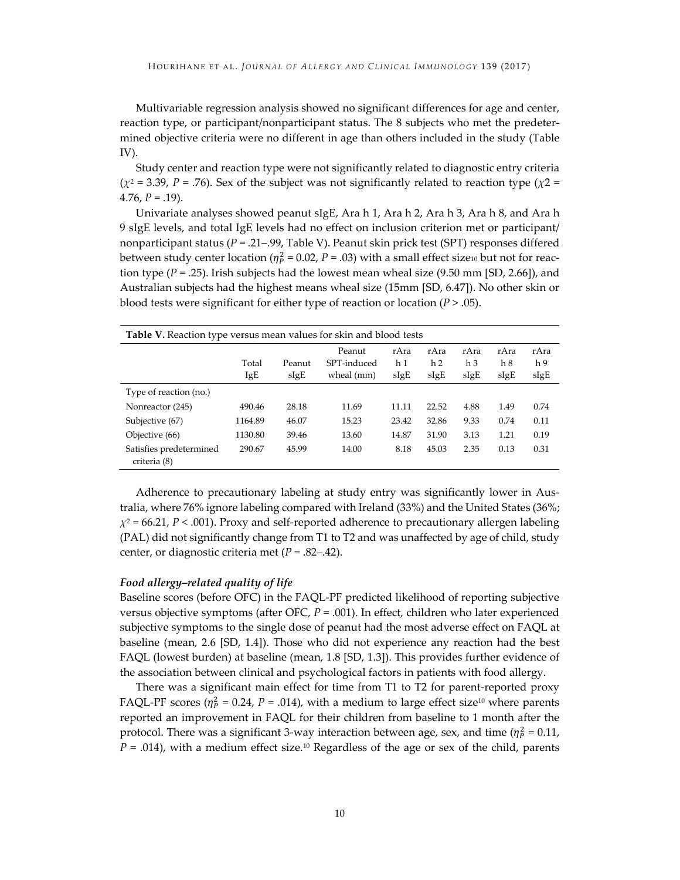Multivariable regression analysis showed no significant differences for age and center, reaction type, or participant/nonparticipant status. The 8 subjects who met the predetermined objective criteria were no different in age than others included in the study (Table IV).

Study center and reaction type were not significantly related to diagnostic entry criteria  $(\chi^2 = 3.39, P = .76)$ . Sex of the subject was not significantly related to reaction type ( $\chi$ 2 = 4.76,  $P = .19$ ).

Univariate analyses showed peanut sIgE, Ara h 1, Ara h 2, Ara h 3, Ara h 8, and Ara h 9 sIgE levels, and total IgE levels had no effect on inclusion criterion met or participant/ nonparticipant status (*P* = .21–.99, Table V). Peanut skin prick test (SPT) responses differed between study center location ( $\eta_P^2$  = 0.02, *P* = .03) with a small effect size<sub>10</sub> but not for reaction type (*P* = .25). Irish subjects had the lowest mean wheal size (9.50 mm [SD, 2.66]), and Australian subjects had the highest means wheal size (15mm [SD, 6.47]). No other skin or blood tests were significant for either type of reaction or location (*P* > .05).

| <b>Table V.</b> Reaction type versus mean values for skin and blood tests |         |        |             |       |       |      |      |      |
|---------------------------------------------------------------------------|---------|--------|-------------|-------|-------|------|------|------|
|                                                                           |         |        | Peanut      | rAra  | rAra  | rAra | rAra | rAra |
|                                                                           | Total   | Peanut | SPT-induced | h 1   | h 2   | h 3  | h 8  | h 9  |
|                                                                           | IgE     | sIgE   | wheal (mm)  | sIgE  | sIgE  | sIgE | sIgE | sIgE |
| Type of reaction (no.)                                                    |         |        |             |       |       |      |      |      |
| Nonreactor (245)                                                          | 490.46  | 28.18  | 11.69       | 11.11 | 22.52 | 4.88 | 1.49 | 0.74 |
| Subjective (67)                                                           | 1164.89 | 46.07  | 15.23       | 23.42 | 32.86 | 9.33 | 0.74 | 0.11 |
| Objective (66)                                                            | 1130.80 | 39.46  | 13.60       | 14.87 | 31.90 | 3.13 | 1.21 | 0.19 |
| Satisfies predetermined<br>criteria (8)                                   | 290.67  | 45.99  | 14.00       | 8.18  | 45.03 | 2.35 | 0.13 | 0.31 |

Adherence to precautionary labeling at study entry was significantly lower in Australia, where 76% ignore labeling compared with Ireland (33%) and the United States (36%;  $\chi^2$  = 66.21, *P* < .001). Proxy and self-reported adherence to precautionary allergen labeling (PAL) did not significantly change from T1 to T2 and was unaffected by age of child, study center, or diagnostic criteria met (*P* = .82–.42).

#### *Food allergy–related quality of life*

Baseline scores (before OFC) in the FAQL-PF predicted likelihood of reporting subjective versus objective symptoms (after OFC, *P* = .001). In effect, children who later experienced subjective symptoms to the single dose of peanut had the most adverse effect on FAQL at baseline (mean, 2.6 [SD, 1.4]). Those who did not experience any reaction had the best FAQL (lowest burden) at baseline (mean, 1.8 [SD, 1.3]). This provides further evidence of the association between clinical and psychological factors in patients with food allergy.

There was a significant main effect for time from T1 to T2 for parent-reported proxy FAQL-PF scores ( $\eta_p^2$  = 0.24, *P* = .014), with a medium to large effect size<sup>10</sup> where parents reported an improvement in FAQL for their children from baseline to 1 month after the protocol. There was a significant 3-way interaction between age, sex, and time ( $\eta_P^2$  = 0.11,  $P = .014$ ), with a medium effect size.<sup>10</sup> Regardless of the age or sex of the child, parents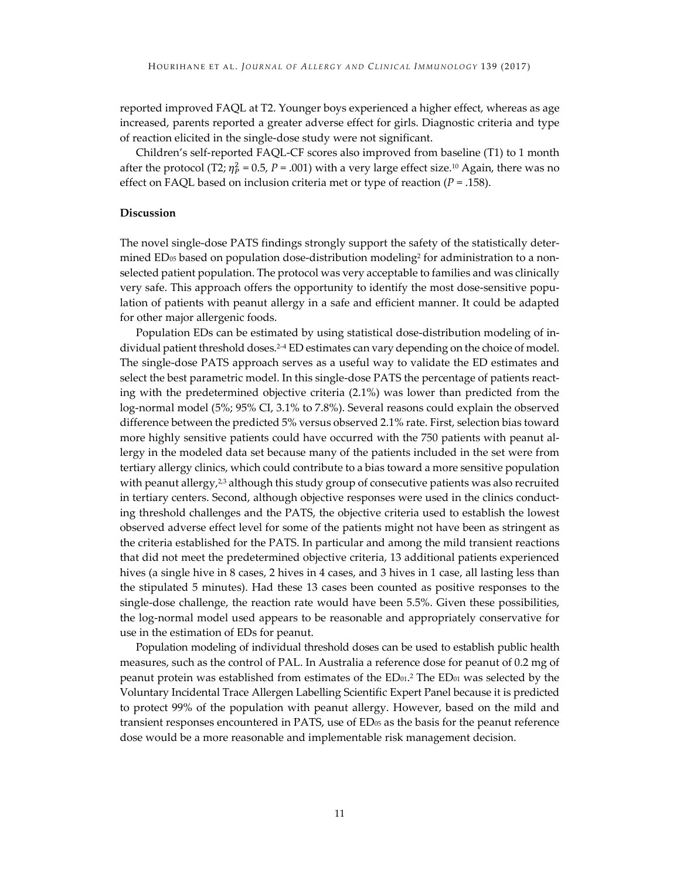reported improved FAQL at T2. Younger boys experienced a higher effect, whereas as age increased, parents reported a greater adverse effect for girls. Diagnostic criteria and type of reaction elicited in the single-dose study were not significant.

Children's self-reported FAQL-CF scores also improved from baseline (T1) to 1 month after the protocol (T2;  $\eta_p^2$  = 0.5, *P* = .001) with a very large effect size.<sup>10</sup> Again, there was no effect on FAQL based on inclusion criteria met or type of reaction (*P* = .158).

#### **Discussion**

The novel single-dose PATS findings strongly support the safety of the statistically determined  $ED_{05}$  based on population dose-distribution modeling<sup>2</sup> for administration to a nonselected patient population. The protocol was very acceptable to families and was clinically very safe. This approach offers the opportunity to identify the most dose-sensitive population of patients with peanut allergy in a safe and efficient manner. It could be adapted for other major allergenic foods.

Population EDs can be estimated by using statistical dose-distribution modeling of individual patient threshold doses.<sup>2-4</sup> ED estimates can vary depending on the choice of model. The single-dose PATS approach serves as a useful way to validate the ED estimates and select the best parametric model. In this single-dose PATS the percentage of patients reacting with the predetermined objective criteria (2.1%) was lower than predicted from the log-normal model (5%; 95% CI, 3.1% to 7.8%). Several reasons could explain the observed difference between the predicted 5% versus observed 2.1% rate. First, selection bias toward more highly sensitive patients could have occurred with the 750 patients with peanut allergy in the modeled data set because many of the patients included in the set were from tertiary allergy clinics, which could contribute to a bias toward a more sensitive population with peanut allergy, $2<sup>3</sup>$  although this study group of consecutive patients was also recruited in tertiary centers. Second, although objective responses were used in the clinics conducting threshold challenges and the PATS, the objective criteria used to establish the lowest observed adverse effect level for some of the patients might not have been as stringent as the criteria established for the PATS. In particular and among the mild transient reactions that did not meet the predetermined objective criteria, 13 additional patients experienced hives (a single hive in 8 cases, 2 hives in 4 cases, and 3 hives in 1 case, all lasting less than the stipulated 5 minutes). Had these 13 cases been counted as positive responses to the single-dose challenge, the reaction rate would have been 5.5%. Given these possibilities, the log-normal model used appears to be reasonable and appropriately conservative for use in the estimation of EDs for peanut.

Population modeling of individual threshold doses can be used to establish public health measures, such as the control of PAL. In Australia a reference dose for peanut of 0.2 mg of peanut protein was established from estimates of the  $ED_{01}.^2$  The  $ED_{01}$  was selected by the Voluntary Incidental Trace Allergen Labelling Scientific Expert Panel because it is predicted to protect 99% of the population with peanut allergy. However, based on the mild and transient responses encountered in PATS, use of  $ED_{05}$  as the basis for the peanut reference dose would be a more reasonable and implementable risk management decision.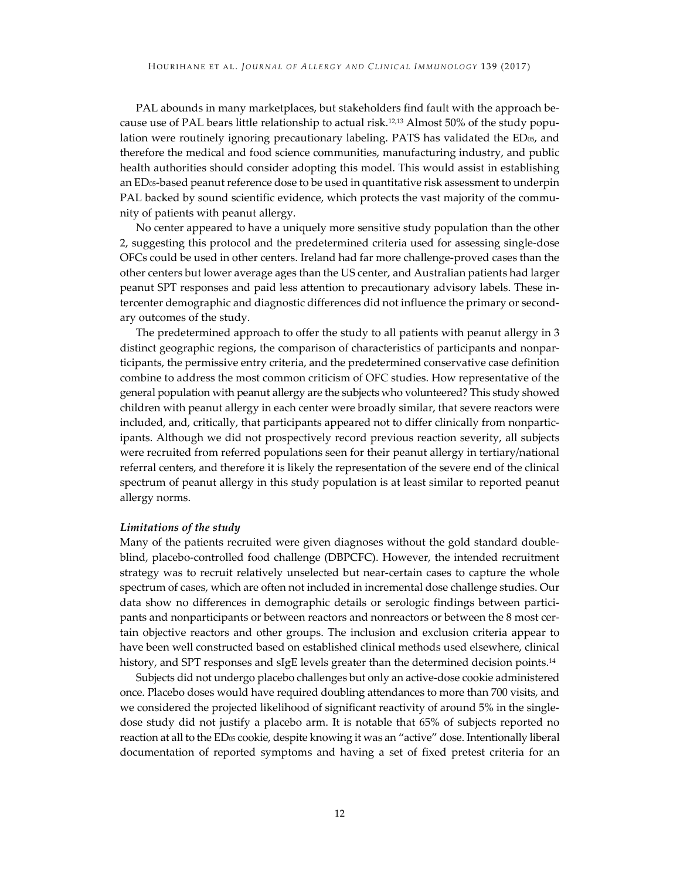PAL abounds in many marketplaces, but stakeholders find fault with the approach because use of PAL bears little relationship to actual risk.12,13 Almost 50% of the study population were routinely ignoring precautionary labeling. PATS has validated the ED<sub>05</sub>, and therefore the medical and food science communities, manufacturing industry, and public health authorities should consider adopting this model. This would assist in establishing an  $ED_{05}$ -based peanut reference dose to be used in quantitative risk assessment to underpin PAL backed by sound scientific evidence, which protects the vast majority of the community of patients with peanut allergy.

No center appeared to have a uniquely more sensitive study population than the other 2, suggesting this protocol and the predetermined criteria used for assessing single-dose OFCs could be used in other centers. Ireland had far more challenge-proved cases than the other centers but lower average ages than the US center, and Australian patients had larger peanut SPT responses and paid less attention to precautionary advisory labels. These intercenter demographic and diagnostic differences did not influence the primary or secondary outcomes of the study.

The predetermined approach to offer the study to all patients with peanut allergy in 3 distinct geographic regions, the comparison of characteristics of participants and nonparticipants, the permissive entry criteria, and the predetermined conservative case definition combine to address the most common criticism of OFC studies. How representative of the general population with peanut allergy are the subjects who volunteered? This study showed children with peanut allergy in each center were broadly similar, that severe reactors were included, and, critically, that participants appeared not to differ clinically from nonparticipants. Although we did not prospectively record previous reaction severity, all subjects were recruited from referred populations seen for their peanut allergy in tertiary/national referral centers, and therefore it is likely the representation of the severe end of the clinical spectrum of peanut allergy in this study population is at least similar to reported peanut allergy norms.

#### *Limitations of the study*

Many of the patients recruited were given diagnoses without the gold standard doubleblind, placebo-controlled food challenge (DBPCFC). However, the intended recruitment strategy was to recruit relatively unselected but near-certain cases to capture the whole spectrum of cases, which are often not included in incremental dose challenge studies. Our data show no differences in demographic details or serologic findings between participants and nonparticipants or between reactors and nonreactors or between the 8 most certain objective reactors and other groups. The inclusion and exclusion criteria appear to have been well constructed based on established clinical methods used elsewhere, clinical history, and SPT responses and sIgE levels greater than the determined decision points.<sup>14</sup>

Subjects did not undergo placebo challenges but only an active-dose cookie administered once. Placebo doses would have required doubling attendances to more than 700 visits, and we considered the projected likelihood of significant reactivity of around 5% in the singledose study did not justify a placebo arm. It is notable that 65% of subjects reported no reaction at all to the ED<sub>05</sub> cookie, despite knowing it was an "active" dose. Intentionally liberal documentation of reported symptoms and having a set of fixed pretest criteria for an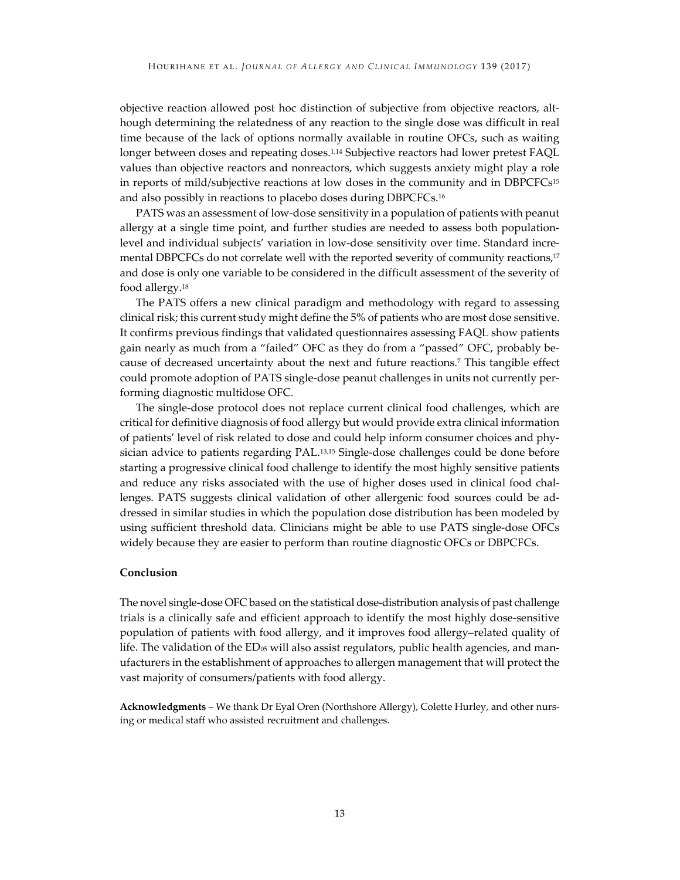objective reaction allowed post hoc distinction of subjective from objective reactors, although determining the relatedness of any reaction to the single dose was difficult in real time because of the lack of options normally available in routine OFCs, such as waiting longer between doses and repeating doses.<sup>1,14</sup> Subjective reactors had lower pretest FAQL values than objective reactors and nonreactors, which suggests anxiety might play a role in reports of mild/subjective reactions at low doses in the community and in DBPCFCs<sup>15</sup> and also possibly in reactions to placebo doses during DBPCFCs.16

PATS was an assessment of low-dose sensitivity in a population of patients with peanut allergy at a single time point, and further studies are needed to assess both populationlevel and individual subjects' variation in low-dose sensitivity over time. Standard incremental DBPCFCs do not correlate well with the reported severity of community reactions,17 and dose is only one variable to be considered in the difficult assessment of the severity of food allergy.18

The PATS offers a new clinical paradigm and methodology with regard to assessing clinical risk; this current study might define the 5% of patients who are most dose sensitive. It confirms previous findings that validated questionnaires assessing FAQL show patients gain nearly as much from a "failed" OFC as they do from a "passed" OFC, probably because of decreased uncertainty about the next and future reactions.7 This tangible effect could promote adoption of PATS single-dose peanut challenges in units not currently performing diagnostic multidose OFC.

The single-dose protocol does not replace current clinical food challenges, which are critical for definitive diagnosis of food allergy but would provide extra clinical information of patients' level of risk related to dose and could help inform consumer choices and physician advice to patients regarding PAL.13,15 Single-dose challenges could be done before starting a progressive clinical food challenge to identify the most highly sensitive patients and reduce any risks associated with the use of higher doses used in clinical food challenges. PATS suggests clinical validation of other allergenic food sources could be addressed in similar studies in which the population dose distribution has been modeled by using sufficient threshold data. Clinicians might be able to use PATS single-dose OFCs widely because they are easier to perform than routine diagnostic OFCs or DBPCFCs.

#### **Conclusion**

The novel single-dose OFC based on the statistical dose-distribution analysis of past challenge trials is a clinically safe and efficient approach to identify the most highly dose-sensitive population of patients with food allergy, and it improves food allergy–related quality of life. The validation of the  $ED_{05}$  will also assist regulators, public health agencies, and manufacturers in the establishment of approaches to allergen management that will protect the vast majority of consumers/patients with food allergy.

**Acknowledgments** – We thank Dr Eyal Oren (Northshore Allergy), Colette Hurley, and other nursing or medical staff who assisted recruitment and challenges.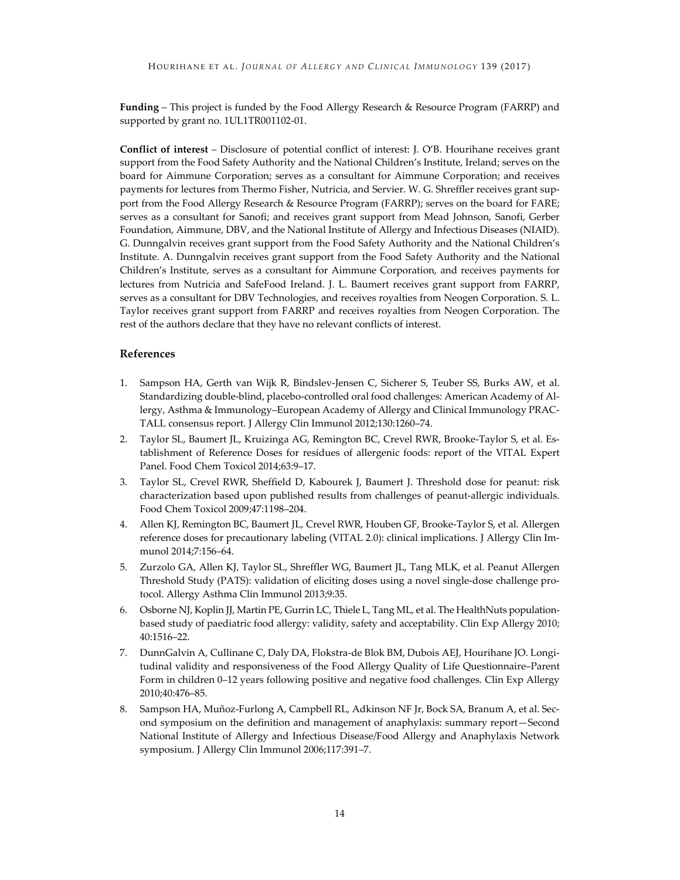**Funding** – This project is funded by the Food Allergy Research & Resource Program (FARRP) and supported by grant no. 1UL1TR001102-01.

**Conflict of interest** – Disclosure of potential conflict of interest: J. O'B. Hourihane receives grant support from the Food Safety Authority and the National Children's Institute, Ireland; serves on the board for Aimmune Corporation; serves as a consultant for Aimmune Corporation; and receives payments for lectures from Thermo Fisher, Nutricia, and Servier. W. G. Shreffler receives grant support from the Food Allergy Research & Resource Program (FARRP); serves on the board for FARE; serves as a consultant for Sanofi; and receives grant support from Mead Johnson, Sanofi, Gerber Foundation, Aimmune, DBV, and the National Institute of Allergy and Infectious Diseases (NIAID). G. Dunngalvin receives grant support from the Food Safety Authority and the National Children's Institute. A. Dunngalvin receives grant support from the Food Safety Authority and the National Children's Institute, serves as a consultant for Aimmune Corporation, and receives payments for lectures from Nutricia and SafeFood Ireland. J. L. Baumert receives grant support from FARRP, serves as a consultant for DBV Technologies, and receives royalties from Neogen Corporation. S. L. Taylor receives grant support from FARRP and receives royalties from Neogen Corporation. The rest of the authors declare that they have no relevant conflicts of interest.

#### **References**

- 1. Sampson HA, Gerth van Wijk R, Bindslev-Jensen C, Sicherer S, Teuber SS, Burks AW, et al. Standardizing double-blind, placebo-controlled oral food challenges: American Academy of Allergy, Asthma & Immunology–European Academy of Allergy and Clinical Immunology PRAC-TALL consensus report. J Allergy Clin Immunol 2012;130:1260–74.
- 2. Taylor SL, Baumert JL, Kruizinga AG, Remington BC, Crevel RWR, Brooke-Taylor S, et al. Establishment of Reference Doses for residues of allergenic foods: report of the VITAL Expert Panel. Food Chem Toxicol 2014;63:9–17.
- 3. Taylor SL, Crevel RWR, Sheffield D, Kabourek J, Baumert J. Threshold dose for peanut: risk characterization based upon published results from challenges of peanut-allergic individuals. Food Chem Toxicol 2009;47:1198–204.
- 4. Allen KJ, Remington BC, Baumert JL, Crevel RWR, Houben GF, Brooke-Taylor S, et al. Allergen reference doses for precautionary labeling (VITAL 2.0): clinical implications. J Allergy Clin Immunol 2014;7:156–64.
- 5. Zurzolo GA, Allen KJ, Taylor SL, Shreffler WG, Baumert JL, Tang MLK, et al. Peanut Allergen Threshold Study (PATS): validation of eliciting doses using a novel single-dose challenge protocol. Allergy Asthma Clin Immunol 2013;9:35.
- 6. Osborne NJ, Koplin JJ, Martin PE, Gurrin LC, Thiele L, Tang ML, et al. The HealthNuts populationbased study of paediatric food allergy: validity, safety and acceptability. Clin Exp Allergy 2010; 40:1516–22.
- 7. DunnGalvin A, Cullinane C, Daly DA, Flokstra-de Blok BM, Dubois AEJ, Hourihane JO. Longitudinal validity and responsiveness of the Food Allergy Quality of Life Questionnaire–Parent Form in children 0–12 years following positive and negative food challenges. Clin Exp Allergy 2010;40:476–85.
- 8. Sampson HA, Muñoz-Furlong A, Campbell RL, Adkinson NF Jr, Bock SA, Branum A, et al. Second symposium on the definition and management of anaphylaxis: summary report—Second National Institute of Allergy and Infectious Disease/Food Allergy and Anaphylaxis Network symposium. J Allergy Clin Immunol 2006;117:391–7.